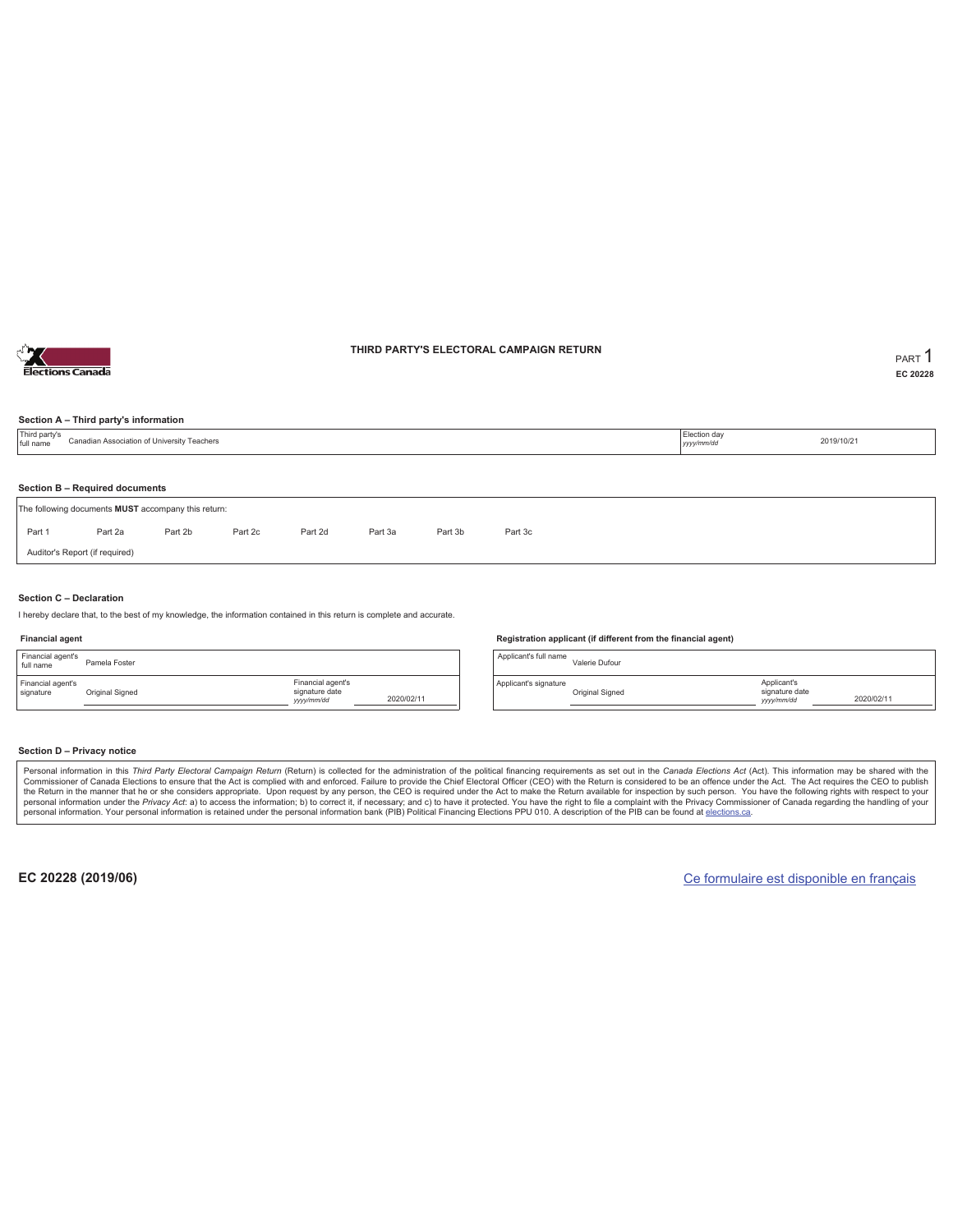

### **THIRD PARTY'S ELECTORAL CAMPAIGN RETURN PART** 1

**EC 20228**

#### **Section A – Third party's information**

| Third party's<br>full name | Canadian Association of University Teachers         |         |         |         |         |         |         | Election day<br>yyyy/mm/dd | 2019/10/21 |
|----------------------------|-----------------------------------------------------|---------|---------|---------|---------|---------|---------|----------------------------|------------|
|                            | Section B - Required documents                      |         |         |         |         |         |         |                            |            |
|                            | The following documents MUST accompany this return: |         |         |         |         |         |         |                            |            |
| Part 1                     | Part 2a                                             | Part 2b | Part 2c | Part 2d | Part 3a | Part 3b | Part 3c |                            |            |
|                            | Auditor's Report (if required)                      |         |         |         |         |         |         |                            |            |
|                            |                                                     |         |         |         |         |         |         |                            |            |

#### **Section C – Declaration**

I hereby declare that, to the best of my knowledge, the information contained in this return is complete and accurate.

#### **Financial agent**

| Financial agent's<br>full name | Pamela Foster   |                                                  |            |
|--------------------------------|-----------------|--------------------------------------------------|------------|
| Financial agent's<br>signature | Original Signed | Financial agent's<br>signature date<br>yyy/mm/dd | 2020/02/11 |

#### **Registration applicant (if different from the financial agent)**

Applicant's full name Valerie Dufour Applicant's signature Original Signed Applicant's signature date *yyyy/mm/dd* 2020/02/11

#### **Section D – Privacy notice**

Personal information in this Third Party Electoral Campaign Return (Return) is collected for the administration of the political financing requirements as set out in the Canada Elections Act (Act). This information may be Commissioner of Canada Elections to ensure that the Act is complied with and enforced. Failure to provide the Chief Electoral Officer (CEO) with the Return is considered to be an offence under the Act. The Act requires the personal information. Your personal information is retained under the personal information bank (PIB) Political Financing Elections PPU 010. A description of the PIB can be found at elections.ca.

**EC 20228 (2019/06)** Ce formulaire est disponible en français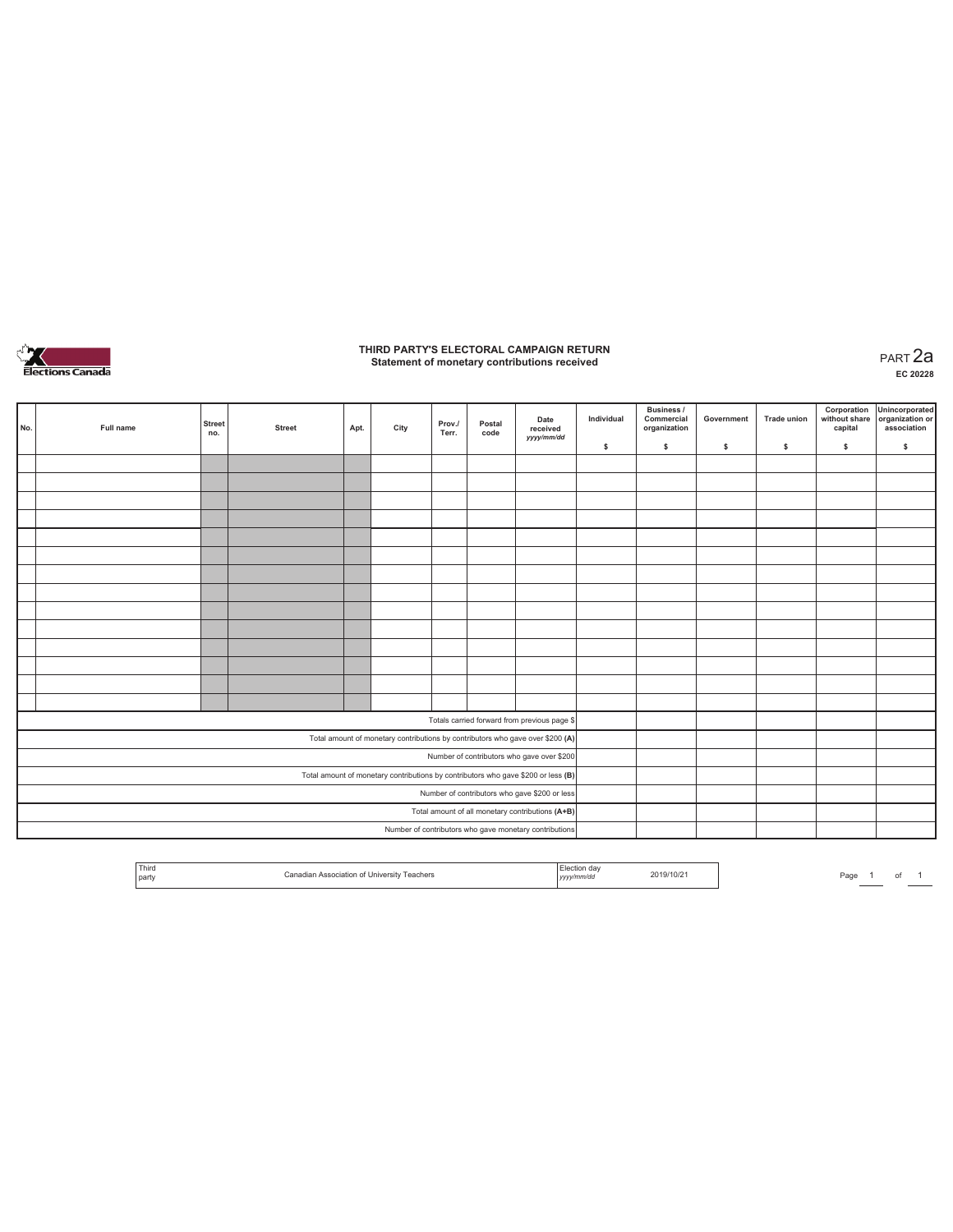

# **THIRD PARTY'S ELECTORAL CAMPAIGN RETURN Statement of monetary contributions received** PART 2a

| No. | Full name | <b>Street</b><br>no. | <b>Street</b> | Apt. | City | Prov./<br>Terr. | Postal<br>code | Date<br>received<br>yyyy/mm/dd                                                    | Individual | <b>Business /</b><br>Commercial<br>organization | Government | <b>Trade union</b> | Corporation<br>capital | Unincorporated<br>without share organization or<br>association |
|-----|-----------|----------------------|---------------|------|------|-----------------|----------------|-----------------------------------------------------------------------------------|------------|-------------------------------------------------|------------|--------------------|------------------------|----------------------------------------------------------------|
|     |           |                      |               |      |      |                 |                |                                                                                   | \$         | \$                                              | \$         | \$                 | \$                     | \$                                                             |
|     |           |                      |               |      |      |                 |                |                                                                                   |            |                                                 |            |                    |                        |                                                                |
|     |           |                      |               |      |      |                 |                |                                                                                   |            |                                                 |            |                    |                        |                                                                |
|     |           |                      |               |      |      |                 |                |                                                                                   |            |                                                 |            |                    |                        |                                                                |
|     |           |                      |               |      |      |                 |                |                                                                                   |            |                                                 |            |                    |                        |                                                                |
|     |           |                      |               |      |      |                 |                |                                                                                   |            |                                                 |            |                    |                        |                                                                |
|     |           |                      |               |      |      |                 |                |                                                                                   |            |                                                 |            |                    |                        |                                                                |
|     |           |                      |               |      |      |                 |                |                                                                                   |            |                                                 |            |                    |                        |                                                                |
|     |           |                      |               |      |      |                 |                |                                                                                   |            |                                                 |            |                    |                        |                                                                |
|     |           |                      |               |      |      |                 |                |                                                                                   |            |                                                 |            |                    |                        |                                                                |
|     |           |                      |               |      |      |                 |                |                                                                                   |            |                                                 |            |                    |                        |                                                                |
|     |           |                      |               |      |      |                 |                |                                                                                   |            |                                                 |            |                    |                        |                                                                |
|     |           |                      |               |      |      |                 |                |                                                                                   |            |                                                 |            |                    |                        |                                                                |
|     |           |                      |               |      |      |                 |                |                                                                                   |            |                                                 |            |                    |                        |                                                                |
|     |           |                      |               |      |      |                 |                |                                                                                   |            |                                                 |            |                    |                        |                                                                |
|     |           |                      |               |      |      |                 |                | Totals carried forward from previous page \$                                      |            |                                                 |            |                    |                        |                                                                |
|     |           |                      |               |      |      |                 |                | Total amount of monetary contributions by contributors who gave over \$200 (A)    |            |                                                 |            |                    |                        |                                                                |
|     |           |                      |               |      |      |                 |                | Number of contributors who gave over \$200                                        |            |                                                 |            |                    |                        |                                                                |
|     |           |                      |               |      |      |                 |                | Total amount of monetary contributions by contributors who gave \$200 or less (B) |            |                                                 |            |                    |                        |                                                                |
|     |           |                      |               |      |      |                 |                | Number of contributors who gave \$200 or less                                     |            |                                                 |            |                    |                        |                                                                |
|     |           |                      |               |      |      |                 |                | Total amount of all monetary contributions (A+B)                                  |            |                                                 |            |                    |                        |                                                                |
|     |           |                      |               |      |      |                 |                | Number of contributors who gave monetary contributions                            |            |                                                 |            |                    |                        |                                                                |

| Third<br>the contract of the contract of<br>the control of the control of the<br>  party | . | ua<br>2019/10/21<br>the contract of the contract of the<br>yyyy | Pagu |
|------------------------------------------------------------------------------------------|---|-----------------------------------------------------------------|------|
|------------------------------------------------------------------------------------------|---|-----------------------------------------------------------------|------|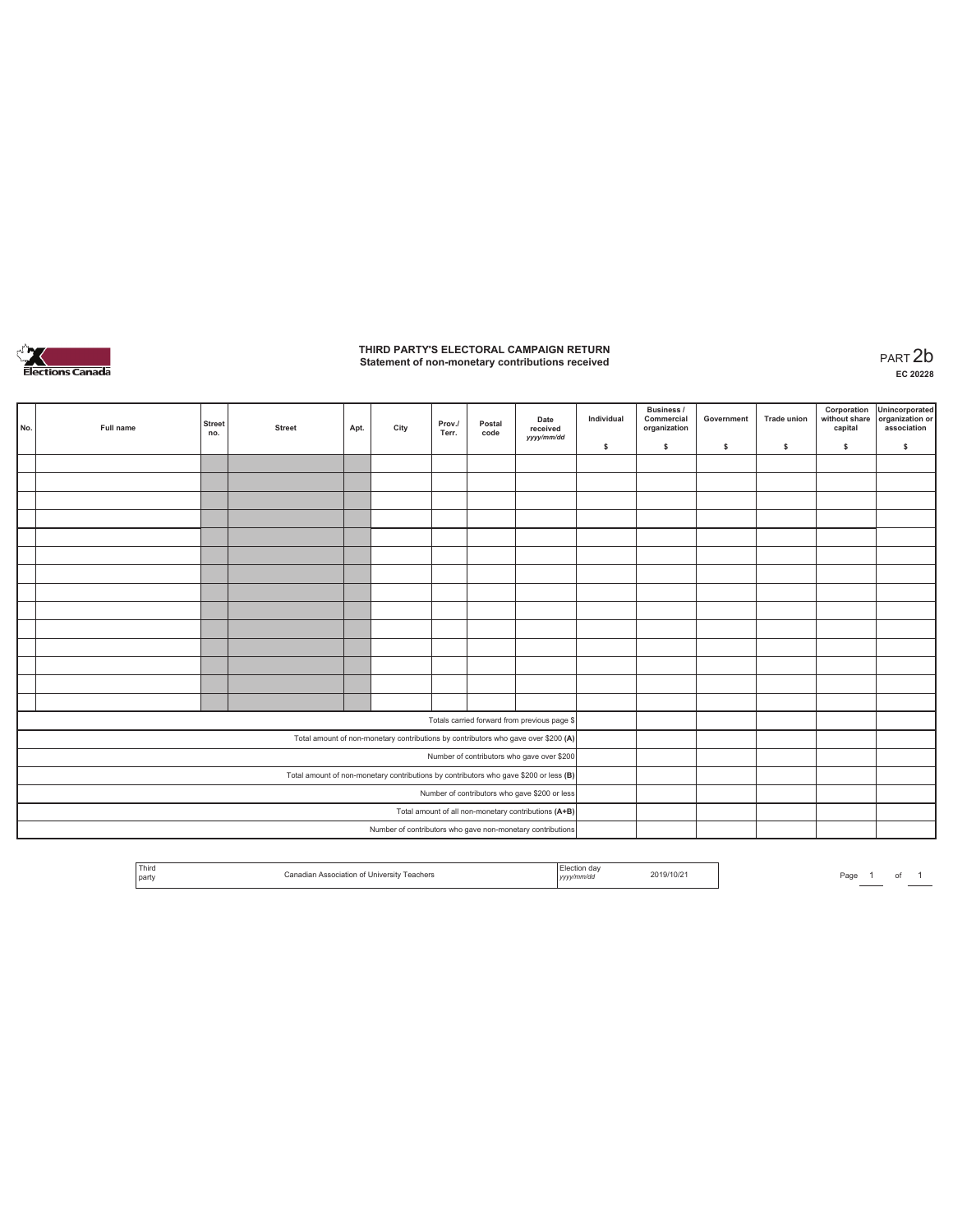

# **THIRD PARTY'S ELECTORAL CAMPAIGN RETURN Statement of non-monetary contributions received** PART 2b

| No. | Full name | <b>Street</b><br>no. | <b>Street</b> | Apt. | City | Prov./<br>Terr. | Postal<br>code | Date<br>received<br>yyyy/mm/dd                                                        | Individual<br>\$ | <b>Business /</b><br>Commercial<br>organization<br>s. | Government<br>s | <b>Trade union</b><br>s | Corporation<br>\$ | Unincorporated<br>without share organization or<br>capital association<br>\$ |
|-----|-----------|----------------------|---------------|------|------|-----------------|----------------|---------------------------------------------------------------------------------------|------------------|-------------------------------------------------------|-----------------|-------------------------|-------------------|------------------------------------------------------------------------------|
|     |           |                      |               |      |      |                 |                |                                                                                       |                  |                                                       |                 |                         |                   |                                                                              |
|     |           |                      |               |      |      |                 |                |                                                                                       |                  |                                                       |                 |                         |                   |                                                                              |
|     |           |                      |               |      |      |                 |                |                                                                                       |                  |                                                       |                 |                         |                   |                                                                              |
|     |           |                      |               |      |      |                 |                |                                                                                       |                  |                                                       |                 |                         |                   |                                                                              |
|     |           |                      |               |      |      |                 |                |                                                                                       |                  |                                                       |                 |                         |                   |                                                                              |
|     |           |                      |               |      |      |                 |                |                                                                                       |                  |                                                       |                 |                         |                   |                                                                              |
|     |           |                      |               |      |      |                 |                |                                                                                       |                  |                                                       |                 |                         |                   |                                                                              |
|     |           |                      |               |      |      |                 |                |                                                                                       |                  |                                                       |                 |                         |                   |                                                                              |
|     |           |                      |               |      |      |                 |                |                                                                                       |                  |                                                       |                 |                         |                   |                                                                              |
|     |           |                      |               |      |      |                 |                |                                                                                       |                  |                                                       |                 |                         |                   |                                                                              |
|     |           |                      |               |      |      |                 |                |                                                                                       |                  |                                                       |                 |                         |                   |                                                                              |
|     |           |                      |               |      |      |                 |                |                                                                                       |                  |                                                       |                 |                         |                   |                                                                              |
|     |           |                      |               |      |      |                 |                |                                                                                       |                  |                                                       |                 |                         |                   |                                                                              |
|     |           |                      |               |      |      |                 |                |                                                                                       |                  |                                                       |                 |                         |                   |                                                                              |
|     |           |                      |               |      |      |                 |                |                                                                                       |                  |                                                       |                 |                         |                   |                                                                              |
|     |           |                      |               |      |      |                 |                | Totals carried forward from previous page \$                                          |                  |                                                       |                 |                         |                   |                                                                              |
|     |           |                      |               |      |      |                 |                | Total amount of non-monetary contributions by contributors who gave over \$200 (A)    |                  |                                                       |                 |                         |                   |                                                                              |
|     |           |                      |               |      |      |                 |                | Number of contributors who gave over \$200                                            |                  |                                                       |                 |                         |                   |                                                                              |
|     |           |                      |               |      |      |                 |                | Total amount of non-monetary contributions by contributors who gave \$200 or less (B) |                  |                                                       |                 |                         |                   |                                                                              |
|     |           |                      |               |      |      |                 |                | Number of contributors who gave \$200 or less                                         |                  |                                                       |                 |                         |                   |                                                                              |
|     |           |                      |               |      |      |                 |                | Total amount of all non-monetary contributions (A+B)                                  |                  |                                                       |                 |                         |                   |                                                                              |
|     |           |                      |               |      |      |                 |                | Number of contributors who gave non-monetary contributions                            |                  |                                                       |                 |                         |                   |                                                                              |

| i nirc<br>the contract of the contract of<br>and the control of the con-<br>  part<br>니더<br>. | 2019/10/21<br>,,,,, | ⊃aα |
|-----------------------------------------------------------------------------------------------|---------------------|-----|
|-----------------------------------------------------------------------------------------------|---------------------|-----|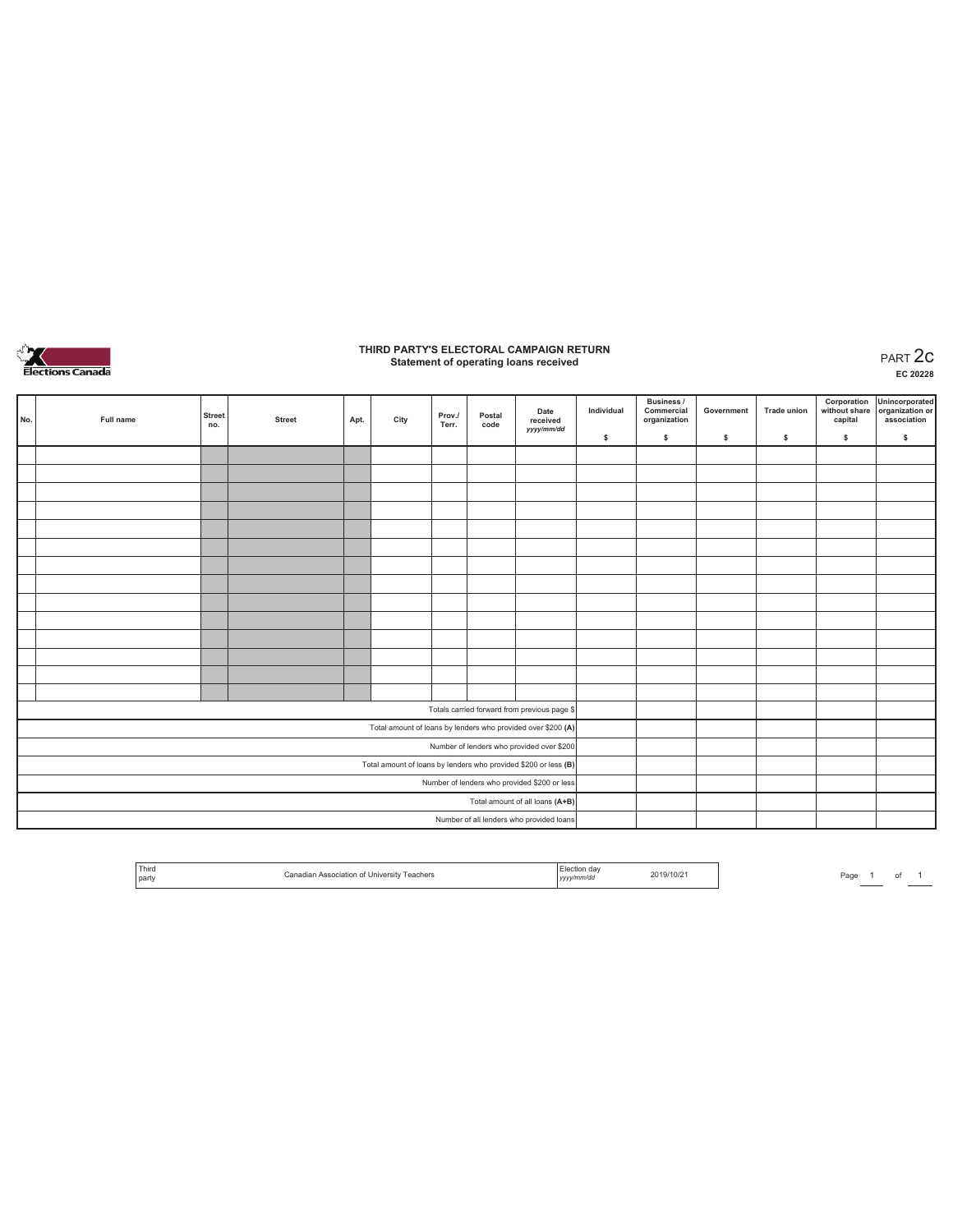

# **THIRD PARTY'S ELECTORAL CAMPAIGN RETURN Statement of operating loans received** PART 2c

**EC 20228**

| No. | Full name | <b>Street</b><br>no. | <b>Street</b> | Apt. | City | Prov./<br>Terr. | Postal<br>code | Date<br>received<br>yyyy/mm/dd                                  | Individual | <b>Business /</b><br>Commercial<br>organization | Government | <b>Trade union</b> | Corporation<br>without share<br>capital | Unincorporated<br>organization or<br>association |
|-----|-----------|----------------------|---------------|------|------|-----------------|----------------|-----------------------------------------------------------------|------------|-------------------------------------------------|------------|--------------------|-----------------------------------------|--------------------------------------------------|
|     |           |                      |               |      |      |                 |                |                                                                 | \$         | \$.                                             | \$         | s                  | \$                                      | $\mathbb S$                                      |
|     |           |                      |               |      |      |                 |                |                                                                 |            |                                                 |            |                    |                                         |                                                  |
|     |           |                      |               |      |      |                 |                |                                                                 |            |                                                 |            |                    |                                         |                                                  |
|     |           |                      |               |      |      |                 |                |                                                                 |            |                                                 |            |                    |                                         |                                                  |
|     |           |                      |               |      |      |                 |                |                                                                 |            |                                                 |            |                    |                                         |                                                  |
|     |           |                      |               |      |      |                 |                |                                                                 |            |                                                 |            |                    |                                         |                                                  |
|     |           |                      |               |      |      |                 |                |                                                                 |            |                                                 |            |                    |                                         |                                                  |
|     |           |                      |               |      |      |                 |                |                                                                 |            |                                                 |            |                    |                                         |                                                  |
|     |           |                      |               |      |      |                 |                |                                                                 |            |                                                 |            |                    |                                         |                                                  |
|     |           |                      |               |      |      |                 |                |                                                                 |            |                                                 |            |                    |                                         |                                                  |
|     |           |                      |               |      |      |                 |                |                                                                 |            |                                                 |            |                    |                                         |                                                  |
|     |           |                      |               |      |      |                 |                |                                                                 |            |                                                 |            |                    |                                         |                                                  |
|     |           |                      |               |      |      |                 |                |                                                                 |            |                                                 |            |                    |                                         |                                                  |
|     |           |                      |               |      |      |                 |                |                                                                 |            |                                                 |            |                    |                                         |                                                  |
|     |           |                      |               |      |      |                 |                |                                                                 |            |                                                 |            |                    |                                         |                                                  |
|     |           |                      |               |      |      |                 |                | Totals carried forward from previous page \$                    |            |                                                 |            |                    |                                         |                                                  |
|     |           |                      |               |      |      |                 |                | Total amount of loans by lenders who provided over \$200 (A)    |            |                                                 |            |                    |                                         |                                                  |
|     |           |                      |               |      |      |                 |                | Number of lenders who provided over \$200                       |            |                                                 |            |                    |                                         |                                                  |
|     |           |                      |               |      |      |                 |                | Total amount of loans by lenders who provided \$200 or less (B) |            |                                                 |            |                    |                                         |                                                  |
|     |           |                      |               |      |      |                 |                | Number of lenders who provided \$200 or less                    |            |                                                 |            |                    |                                         |                                                  |
|     |           |                      |               |      |      |                 |                | Total amount of all loans (A+B)                                 |            |                                                 |            |                    |                                         |                                                  |
|     |           |                      |               |      |      |                 |                | Number of all lenders who provided loans                        |            |                                                 |            |                    |                                         |                                                  |

| Third<br>da:<br>019/10/21<br>Association of University<br>Teachers<br>`onodio<br><b>Darty</b><br>y/mm/do<br>,,,, |
|------------------------------------------------------------------------------------------------------------------|
|------------------------------------------------------------------------------------------------------------------|

Page  $1$  of  $1$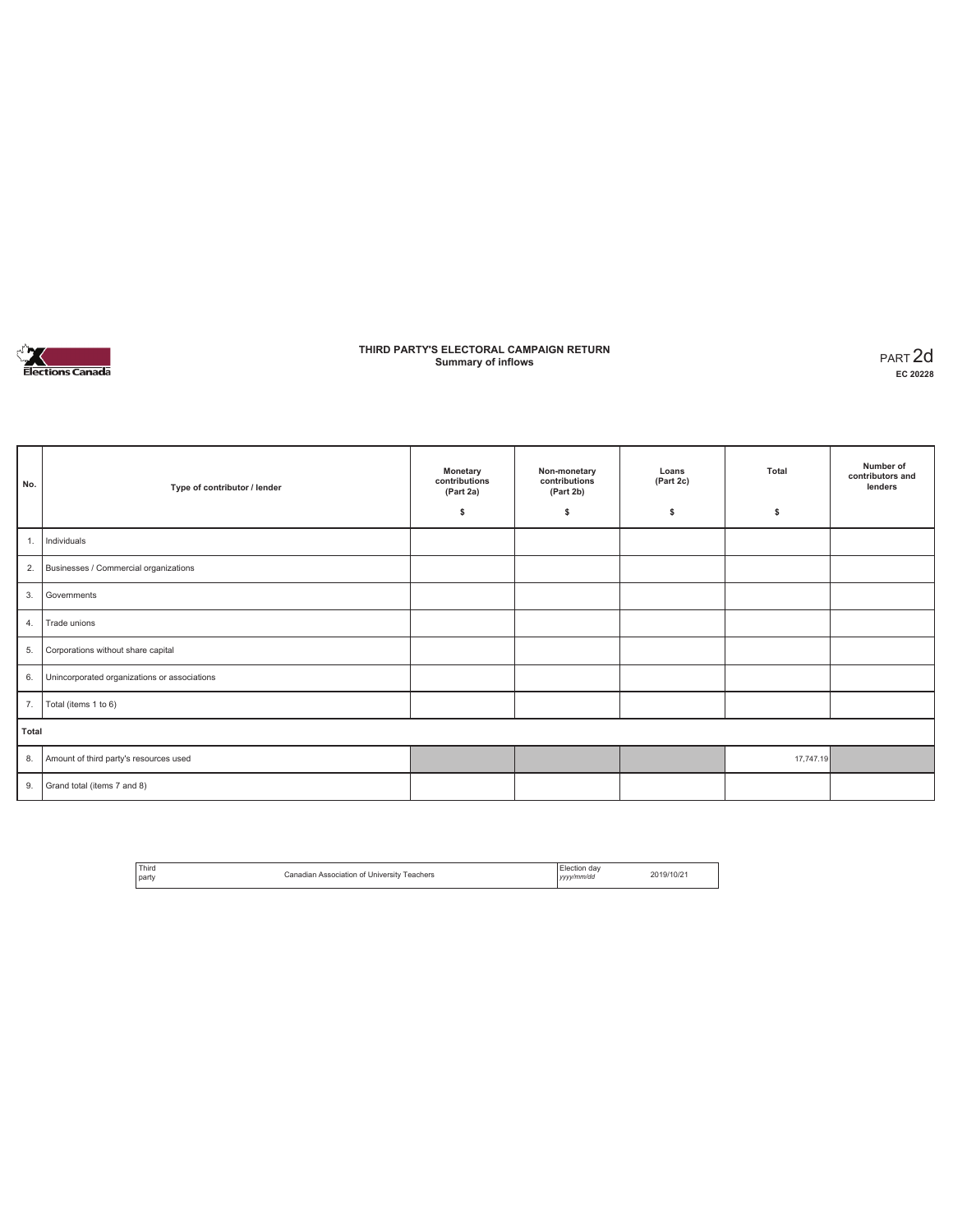

### **THIRD PARTY'S ELECTORAL CAMPAIGN RETURN Summary of inflows** PART 2d

| No.   | Type of contributor / lender                 | Monetary<br>contributions<br>(Part 2a)<br>\$ | Non-monetary<br>contributions<br>(Part 2b)<br>\$ | Loans<br>(Part 2c)<br>s | Total<br>\$ | Number of<br>contributors and<br>lenders |
|-------|----------------------------------------------|----------------------------------------------|--------------------------------------------------|-------------------------|-------------|------------------------------------------|
| 1.    | Individuals                                  |                                              |                                                  |                         |             |                                          |
| 2.    | Businesses / Commercial organizations        |                                              |                                                  |                         |             |                                          |
| 3.    | Governments                                  |                                              |                                                  |                         |             |                                          |
| 4.    | Trade unions                                 |                                              |                                                  |                         |             |                                          |
| 5.    | Corporations without share capital           |                                              |                                                  |                         |             |                                          |
| 6.    | Unincorporated organizations or associations |                                              |                                                  |                         |             |                                          |
| 7.    | Total (items 1 to 6)                         |                                              |                                                  |                         |             |                                          |
| Total |                                              |                                              |                                                  |                         |             |                                          |
| 8.    | Amount of third party's resources used       |                                              |                                                  |                         | 17,747.19   |                                          |
| 9.    | Grand total (items 7 and 8)                  |                                              |                                                  |                         |             |                                          |

| Third<br>l party | Canadian Association of University Teachers | Election day<br>yyyy/mm/dd | 2019/10/21 |
|------------------|---------------------------------------------|----------------------------|------------|
|                  |                                             |                            |            |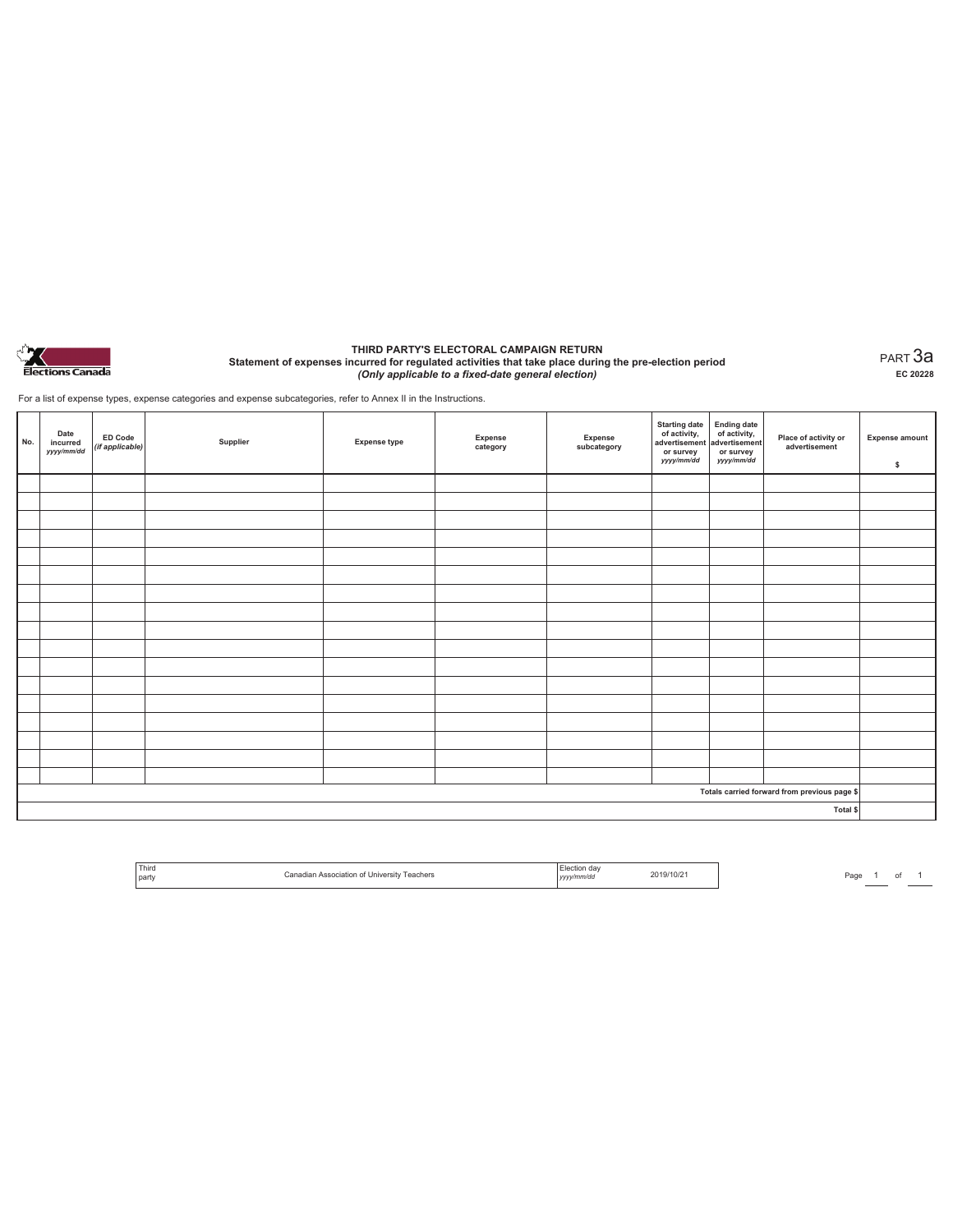

#### **THIRD PARTY'S ELECTORAL CAMPAIGN RETURN Statement of expenses incurred for regulated activities that take place during the pre-election period**  *(Only applicable to a fixed-date general election)*

PART 3a **EC 20228**

For a list of expense types, expense categories and expense subcategories, refer to Annex II in the Instructions.

| No. | Date<br>incurred<br>yyyy/mm/dd | ED Code<br>(if applicable) | Supplier | <b>Expense type</b> | Expense<br>category | Expense<br>subcategory | Starting date<br>of activity,<br>advertisement<br>advertisement<br>dvertisement<br>or survey<br>yyyy/mm/dd | or survey<br>yyyy/mm/dd | Place of activity or<br>advertisement        | <b>Expense amount</b><br>\$ |
|-----|--------------------------------|----------------------------|----------|---------------------|---------------------|------------------------|------------------------------------------------------------------------------------------------------------|-------------------------|----------------------------------------------|-----------------------------|
|     |                                |                            |          |                     |                     |                        |                                                                                                            |                         |                                              |                             |
|     |                                |                            |          |                     |                     |                        |                                                                                                            |                         |                                              |                             |
|     |                                |                            |          |                     |                     |                        |                                                                                                            |                         |                                              |                             |
|     |                                |                            |          |                     |                     |                        |                                                                                                            |                         |                                              |                             |
|     |                                |                            |          |                     |                     |                        |                                                                                                            |                         |                                              |                             |
|     |                                |                            |          |                     |                     |                        |                                                                                                            |                         |                                              |                             |
|     |                                |                            |          |                     |                     |                        |                                                                                                            |                         |                                              |                             |
|     |                                |                            |          |                     |                     |                        |                                                                                                            |                         |                                              |                             |
|     |                                |                            |          |                     |                     |                        |                                                                                                            |                         |                                              |                             |
|     |                                |                            |          |                     |                     |                        |                                                                                                            |                         |                                              |                             |
|     |                                |                            |          |                     |                     |                        |                                                                                                            |                         |                                              |                             |
|     |                                |                            |          |                     |                     |                        |                                                                                                            |                         |                                              |                             |
|     |                                |                            |          |                     |                     |                        |                                                                                                            |                         |                                              |                             |
|     |                                |                            |          |                     |                     |                        |                                                                                                            |                         |                                              |                             |
|     |                                |                            |          |                     |                     |                        |                                                                                                            |                         |                                              |                             |
|     |                                |                            |          |                     |                     |                        |                                                                                                            |                         |                                              |                             |
|     |                                |                            |          |                     |                     |                        |                                                                                                            |                         |                                              |                             |
|     |                                |                            |          |                     |                     |                        |                                                                                                            |                         | Totals carried forward from previous page \$ |                             |
|     |                                |                            |          |                     |                     |                        |                                                                                                            |                         | Total \$                                     |                             |

| ' Third                     | . dav                           |
|-----------------------------|---------------------------------|
| Universit                   | 19/10/2                         |
| eachers                     | vv/mm/dd                        |
| $\sim$                      | the contract of the contract of |
| and the control of the con- |                                 |
| l partv                     |                                 |

Page  $\frac{1}{\phantom{1}}$  of  $\frac{1}{\phantom{1}}$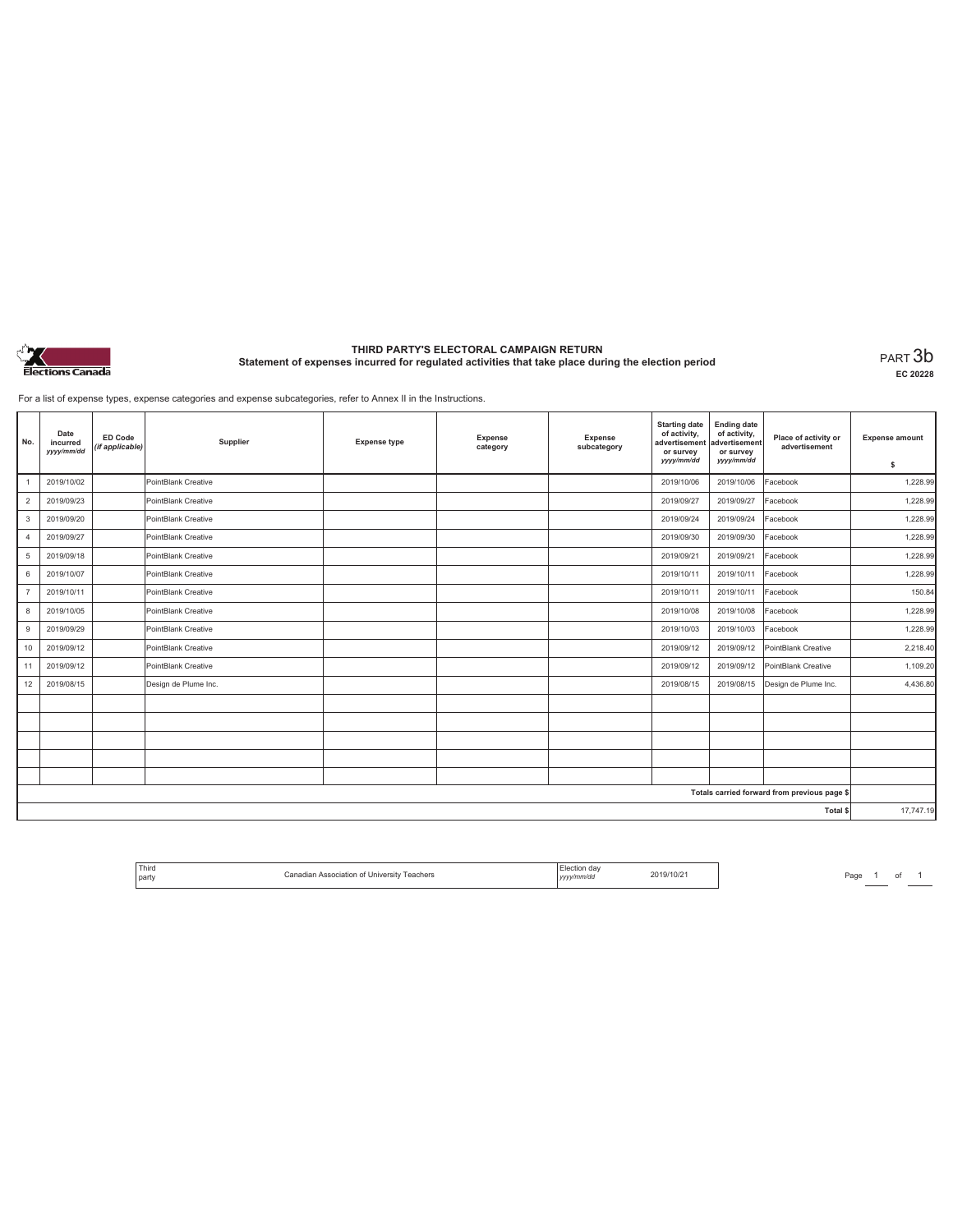

# **THIRD PARTY'S ELECTORAL CAMPAIGN RETURN Statement of expenses incurred for regulated activities that take place during the election period** PART 3b

**EC 20228**

For a list of expense types, expense categories and expense subcategories, refer to Annex II in the Instructions.

| No.                                          | Date<br>incurred<br>yyyy/mm/dd | <b>ED Code</b><br>(if applicable) | Supplier             | <b>Expense type</b> | Expense<br>category | Expense<br>subcategory | <b>Starting date</b><br>of activity,<br>advertisement<br>or survey<br>yyyy/mm/dd | <b>Ending date</b><br>of activity,<br>advertisement<br>or survey<br>yyyy/mm/dd | Place of activity or<br>advertisement | <b>Expense amount</b> |
|----------------------------------------------|--------------------------------|-----------------------------------|----------------------|---------------------|---------------------|------------------------|----------------------------------------------------------------------------------|--------------------------------------------------------------------------------|---------------------------------------|-----------------------|
|                                              |                                |                                   |                      |                     |                     |                        |                                                                                  |                                                                                |                                       | \$                    |
|                                              | 2019/10/02                     |                                   | PointBlank Creative  |                     |                     |                        | 2019/10/06                                                                       | 2019/10/06                                                                     | Facebook                              | 1,228.99              |
| $\overline{2}$                               | 2019/09/23                     |                                   | PointBlank Creative  |                     |                     |                        | 2019/09/27                                                                       | 2019/09/27                                                                     | Facebook                              | 1,228.99              |
| 3                                            | 2019/09/20                     |                                   | PointBlank Creative  |                     |                     |                        | 2019/09/24                                                                       | 2019/09/24                                                                     | Facebook                              | 1,228.99              |
| $\overline{4}$                               | 2019/09/27                     |                                   | PointBlank Creative  |                     |                     |                        | 2019/09/30                                                                       | 2019/09/30                                                                     | Facebook                              | 1,228.99              |
| 5                                            | 2019/09/18                     |                                   | PointBlank Creative  |                     |                     |                        | 2019/09/21                                                                       | 2019/09/21                                                                     | Facebook                              | 1,228.99              |
| 6                                            | 2019/10/07                     |                                   | PointBlank Creative  |                     |                     |                        | 2019/10/11                                                                       | 2019/10/11                                                                     | Facebook                              | 1,228.99              |
| $\overline{7}$                               | 2019/10/11                     |                                   | PointBlank Creative  |                     |                     |                        | 2019/10/11                                                                       | 2019/10/11                                                                     | Facebook                              | 150.84                |
| 8                                            | 2019/10/05                     |                                   | PointBlank Creative  |                     |                     |                        | 2019/10/08                                                                       | 2019/10/08                                                                     | Facebook                              | 1,228.99              |
| 9                                            | 2019/09/29                     |                                   | PointBlank Creative  |                     |                     |                        | 2019/10/03                                                                       | 2019/10/03                                                                     | Facebook                              | 1,228.99              |
| 10                                           | 2019/09/12                     |                                   | PointBlank Creative  |                     |                     |                        | 2019/09/12                                                                       | 2019/09/12                                                                     | PointBlank Creative                   | 2,218.40              |
| 11                                           | 2019/09/12                     |                                   | PointBlank Creative  |                     |                     |                        | 2019/09/12                                                                       | 2019/09/12                                                                     | PointBlank Creative                   | 1,109.20              |
| 12                                           | 2019/08/15                     |                                   | Design de Plume Inc. |                     |                     |                        | 2019/08/15                                                                       | 2019/08/15                                                                     | Design de Plume Inc.                  | 4,436.80              |
|                                              |                                |                                   |                      |                     |                     |                        |                                                                                  |                                                                                |                                       |                       |
|                                              |                                |                                   |                      |                     |                     |                        |                                                                                  |                                                                                |                                       |                       |
|                                              |                                |                                   |                      |                     |                     |                        |                                                                                  |                                                                                |                                       |                       |
|                                              |                                |                                   |                      |                     |                     |                        |                                                                                  |                                                                                |                                       |                       |
|                                              |                                |                                   |                      |                     |                     |                        |                                                                                  |                                                                                |                                       |                       |
| Totals carried forward from previous page \$ |                                |                                   |                      |                     |                     |                        |                                                                                  |                                                                                |                                       |                       |
| Total \$                                     |                                |                                   |                      |                     |                     |                        |                                                                                  | 17,747.19                                                                      |                                       |                       |

| ' Third | Teachers<br>University<br>\ssociation of<br>$-$ | dav           | $\overline{\phantom{a}}$<br>119/1014. |
|---------|-------------------------------------------------|---------------|---------------------------------------|
| l partv |                                                 | mm/dc<br>,,,, |                                       |

Page  $1$  of  $1$